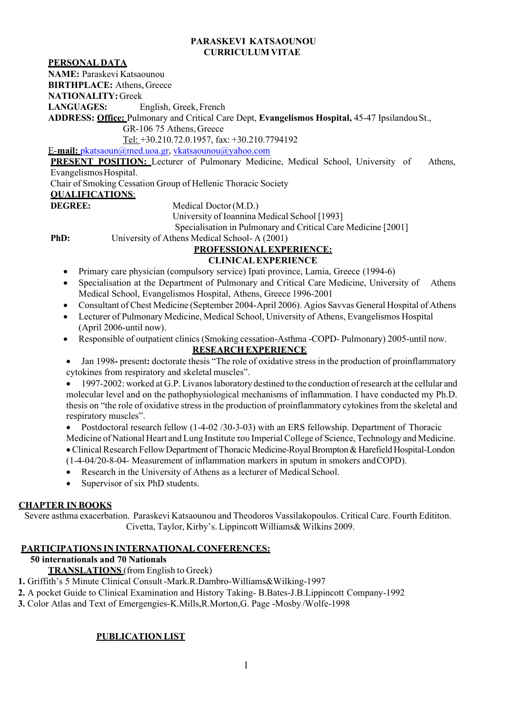#### **PARASKEVI KATSAOUNOU CURRICULUM VITAE**

## **PERSONAL DATA**

**NAME:** Paraskevi Katsaounou

**BIRTHPLACE:** Athens,Greece

**NATIONALITY:** Greek

**LANGUAGES:** English, Greek,French

**ADDRESS: Office:** Pulmonary and Critical Care Dept, **Evangelismos Hospital,** 45-47 IpsilandouSt.,

GR-106 75 Athens,Greece

Tel: +30.210.72.0.1957, fax: +30.210.7794192

E-**mail:** [pkatsaoun@med.uoa.gr,](mailto:pkatsaoun@med.uoa.gr) [vkatsaounou@yahoo.com](mailto:vkatsaounou@yahoo.com)

**PRESENT POSITION:** Lecturer of Pulmonary Medicine, Medical School, University of Athens, EvangelismosHospital.

Chair of Smoking Cessation Group of Hellenic Thoracic Society

## **QUALIFICATIONS**:

**DEGREE:** Medical Doctor(M.D.)

University of Ioannina Medical School [1993]

Specialisation in Pulmonary and Critical Care Medicine [2001]

**PhD:** University of Athens Medical School- A (2001)

# **PROFESSIONALEXPERIENCE:**

## **CLINICALEXPERIENCE**

- Primary care physician (compulsory service) Ipati province, Lamia, Greece (1994-6)
- Specialisation at the Department of Pulmonary and Critical Care Medicine, University of Athens Medical School, Evangelismos Hospital, Athens, Greece 1996-2001
- Consultant of Chest Medicine (September 2004-April 2006). Agios Savvas General Hospital of Athens
- Lecturer of Pulmonary Medicine, Medical School, University of Athens, Evangelismos Hospital (April 2006-until now).
- Responsible of outpatient clinics (Smoking cessation-Asthma -COPD- Pulmonary) 2005-until now.

## **RESEARCHEXPERIENCE**

• Jan 1998**-** present**:** doctorate thesis "The role of oxidative stress in the production of proinflammatory cytokines from respiratory and skeletal muscles".

1997-2002: worked at G.P. Livanos laboratory destined to the conduction of research at the cellular and molecular level and on the pathophysiological mechanisms of inflammation. I have conducted my Ph.D. thesis on "the role of oxidative stress in the production of proinflammatory cytokines from the skeletal and respiratory muscles".

• Postdoctoral research fellow (1-4-02 /30-3-03) with an ERS fellowship. Department of Thoracic Medicine of National Heart and Lung Institute του Imperial College of Science, Technology and Medicine. • Clinical Research Fellow Department of Thoracic Medicine-Royal Brompton & Harefield Hospital-London (1-4-04/20-8-04- Measurement of inflammation markers in sputum in smokers andCOPD).

- Research in the University of Athens as a lecturer of Medical School.
- Supervisor of six PhD students.

### **CHAPTER IN BOOKS**

Severe asthma exacerbation. Paraskevi Katsaounou and Theodoros Vassilakopoulos. Critical Care. Fourth Edititon. Civetta, Taylor, Kirby's. Lippincott Williams& Wilkins 2009.

# **PARTICIPATIONS IN INTERNATIONAL CONFERENCES:**

# **50 internationals and 70 Nationals**

### **TRANSLATIONS** (from English to Greek)

**1.** Griffith's 5 Minute Clinical Consult-Mark.R.Dambro-Williams&Wilking-1997

**2.** A pocket Guide to Clinical Examination and History Taking- B.Bates-J.B.Lippincott Company-1992

**3.** Color Atlas and Text of Emergengies-K.Mills,R.Morton,G. Page -Mosby /Wolfe-1998

# **PUBLICATION LIST**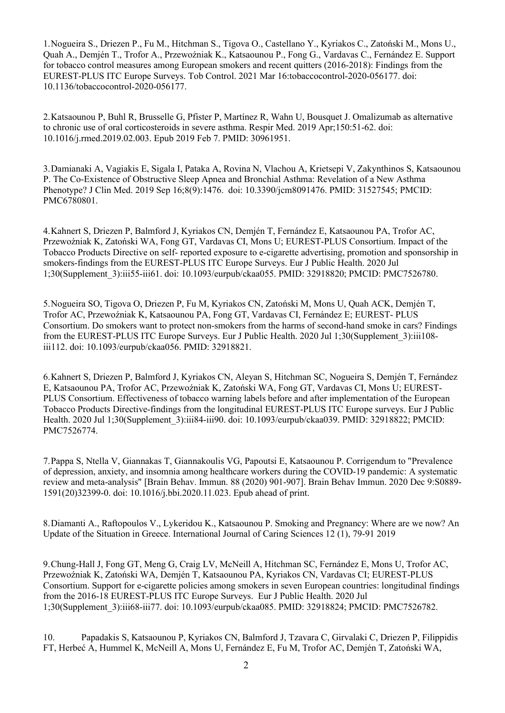1.Nogueira S., Driezen P., Fu M., Hitchman S., Tigova O., Castellano Y., Kyriakos C., Zatoński M., Mons U., Quah A., Demjén T., Trofor A., Przewoźniak K., Katsaounou P., Fong G., Vardavas C., Fernández E. Support for tobacco control measures among European smokers and recent quitters (2016-2018): Findings from the EUREST-PLUS ITC Europe Surveys. Tob Control. 2021 Mar 16:tobaccocontrol-2020-056177. doi: 10.1136/tobaccocontrol-2020-056177.

2.Katsaounou P, Buhl R, Brusselle G, Pfister P, Martínez R, Wahn U, Bousquet J. Omalizumab as alternative to chronic use of oral corticosteroids in severe asthma. Respir Med. 2019 Apr;150:51-62. doi: 10.1016/j.rmed.2019.02.003. Epub 2019 Feb 7. PMID: 30961951.

3.Damianaki A, Vagiakis E, Sigala I, Pataka A, Rovina N, Vlachou A, Krietsepi V, Zakynthinos S, Katsaounou P. Τhe Co-Existence of Obstructive Sleep Apnea and Bronchial Asthma: Revelation of a New Asthma Phenotype? J Clin Med. 2019 Sep 16;8(9):1476. doi: 10.3390/jcm8091476. PMID: 31527545; PMCID: PMC6780801.

4.Kahnert S, Driezen P, Balmford J, Kyriakos CN, Demjén T, Fernández E, Katsaounou PA, Trofor AC, Przewoźniak K, Zatoński WA, Fong GT, Vardavas CI, Mons U; EUREST-PLUS Consortium. Impact of the Tobacco Products Directive on self- reported exposure to e-cigarette advertising, promotion and sponsorship in smokers-findings from the EUREST-PLUS ITC Europe Surveys. Eur J Public Health. 2020 Jul 1;30(Supplement\_3):iii55-iii61. doi: 10.1093/eurpub/ckaa055. PMID: 32918820; PMCID: PMC7526780.

5.Nogueira SO, Tigova O, Driezen P, Fu M, Kyriakos CN, Zatoński M, Mons U, Quah ACK, Demjén T, Trofor AC, Przewoźniak K, Katsaounou PA, Fong GT, Vardavas CI, Fernández E; EUREST- PLUS Consortium. Do smokers want to protect non-smokers from the harms of second-hand smoke in cars? Findings from the EUREST-PLUS ITC Europe Surveys. Eur J Public Health. 2020 Jul 1;30(Supplement\_3):iii108 iii112. doi: 10.1093/eurpub/ckaa056. PMID: 32918821.

6.Kahnert S, Driezen P, Balmford J, Kyriakos CN, Aleyan S, Hitchman SC, Nogueira S, Demjén T, Fernández E, Katsaounou PA, Trofor AC, Przewoźniak K, Zatoński WA, Fong GT, Vardavas CI, Mons U; EUREST-PLUS Consortium. Effectiveness of tobacco warning labels before and after implementation of the European Tobacco Products Directive-findings from the longitudinal EUREST-PLUS ITC Europe surveys. Eur J Public Health. 2020 Jul 1;30(Supplement 3):iii84-iii90. doi: 10.1093/eurpub/ckaa039. PMID: 32918822; PMCID: PMC7526774.

7.Pappa S, Ntella V, Giannakas T, Giannakoulis VG, Papoutsi E, Katsaounou P. Corrigendum to "Prevalence of depression, anxiety, and insomnia among healthcare workers during the COVID-19 pandemic: A systematic review and meta-analysis" [Brain Behav. Immun. 88 (2020) 901-907]. Brain Behav Immun. 2020 Dec 9:S0889- 1591(20)32399-0. doi: 10.1016/j.bbi.2020.11.023. Epub ahead of print.

8.Diamanti A., Raftopoulos V., Lykeridou K., Katsaounou P. Smoking and Pregnancy: Where are we now? An Update of the Situation in Greece. International Journal of Caring Sciences 12 (1), 79-91 2019

9.Chung-Hall J, Fong GT, Meng G, Craig LV, McNeill A, Hitchman SC, Fernández E, Mons U, Trofor AC, Przewoźniak K, Zatoński WA, Demjén T, Katsaounou PA, Kyriakos CN, Vardavas CI; EUREST-PLUS Consortium. Support for e-cigarette policies among smokers in seven European countries: longitudinal findings from the 2016-18 EUREST-PLUS ITC Europe Surveys. Eur J Public Health. 2020 Jul 1;30(Supplement\_3):iii68-iii77. doi: 10.1093/eurpub/ckaa085. PMID: 32918824; PMCID: PMC7526782.

10. Papadakis S, Katsaounou P, Kyriakos CN, Balmford J, Tzavara C, Girvalaki C, Driezen P, Filippidis FT, Herbeć A, Hummel K, McNeill A, Mons U, Fernández E, Fu M, Trofor AC, Demjén T, Zatoński WA,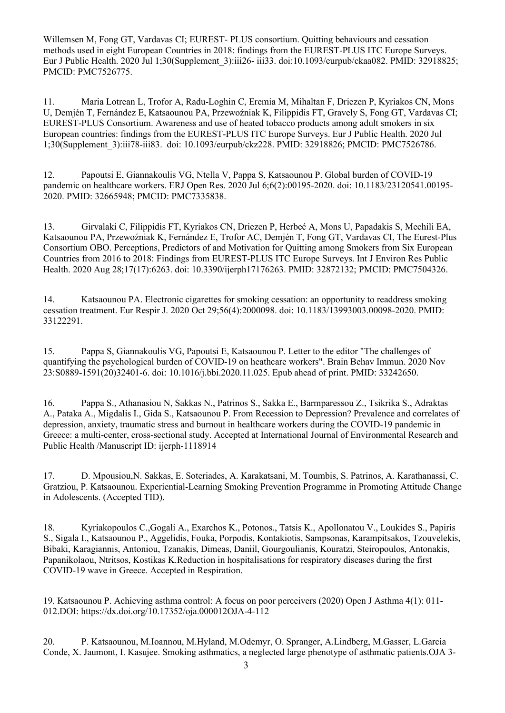Willemsen M, Fong GT, Vardavas CI; EUREST- PLUS consortium. Quitting behaviours and cessation methods used in eight European Countries in 2018: findings from the EUREST-PLUS ITC Europe Surveys. Eur J Public Health. 2020 Jul 1;30(Supplement\_3):iii26- iii33. doi:10.1093/eurpub/ckaa082. PMID: 32918825; PMCID: PMC7526775.

11. Maria Lotrean L, Trofor A, Radu-Loghin C, Eremia M, Mihaltan F, Driezen P, Kyriakos CN, Mons U, Demjén T, Fernández E, Katsaounou PA, Przewoźniak K, Filippidis FT, Gravely S, Fong GT, Vardavas CI; EUREST-PLUS Consortium. Awareness and use of heated tobacco products among adult smokers in six European countries: findings from the EUREST-PLUS ITC Europe Surveys. Eur J Public Health. 2020 Jul 1;30(Supplement\_3):iii78-iii83. doi: 10.1093/eurpub/ckz228. PMID: 32918826; PMCID: PMC7526786.

12. Papoutsi E, Giannakoulis VG, Ntella V, Pappa S, Katsaounou P. Global burden of COVID-19 pandemic on healthcare workers. ERJ Open Res. 2020 Jul 6;6(2):00195-2020. doi: 10.1183/23120541.00195- 2020. PMID: 32665948; PMCID: PMC7335838.

13. Girvalaki C, Filippidis FT, Kyriakos CN, Driezen P, Herbeć A, Mons U, Papadakis S, Mechili EA, Katsaounou PA, Przewoźniak K, Fernández E, Trofor AC, Demjén T, Fong GT, Vardavas CI, The Eurest-Plus Consortium OBO. Perceptions, Predictors of and Motivation for Quitting among Smokers from Six European Countries from 2016 to 2018: Findings from EUREST-PLUS ITC Europe Surveys. Int J Environ Res Public Health. 2020 Aug 28;17(17):6263. doi: 10.3390/ijerph17176263. PMID: 32872132; PMCID: PMC7504326.

14. Katsaounou PA. Electronic cigarettes for smoking cessation: an opportunity to readdress smoking cessation treatment. Eur Respir J. 2020 Oct 29;56(4):2000098. doi: 10.1183/13993003.00098-2020. PMID: 33122291.

15. Pappa S, Giannakoulis VG, Papoutsi E, Katsaounou P. Letter to the editor "The challenges of quantifying the psychological burden of COVID-19 on heathcare workers". Brain Behav Immun. 2020 Nov 23:S0889-1591(20)32401-6. doi: 10.1016/j.bbi.2020.11.025. Epub ahead of print. PMID: 33242650.

16. Pappa S., Athanasiou N, Sakkas N., Patrinos S., Sakka E., Barmparessou Z., Tsikrika S., Adraktas A., Pataka A., Migdalis I., Gida S., Katsaounou P. From Recession to Depression? Prevalence and correlates of depression, anxiety, traumatic stress and burnout in healthcare workers during the COVID-19 pandemic in Greece: a multi-center, cross-sectional study. Accepted at International Journal of Environmental Research and Public Health /Manuscript ID: ijerph-1118914

17. D. Mpousiou,N. Sakkas, E. Soteriades, A. Karakatsani, M. Toumbis, S. Patrinos, A. Karathanassi, C. Gratziou, P. Katsaounou. Experiential-Learning Smoking Prevention Programme in Promoting Attitude Change in Adolescents. (Accepted TID).

18. Kyriakopoulos C.,Gogali A., Exarchos K., Potonos., Tatsis K., Apollonatou V., Loukides S., Papiris S., Sigala I., Katsaounou P., Aggelidis, Fouka, Porpodis, Kontakiotis, Sampsonas, Karampitsakos, Tzouvelekis, Bibaki, Karagiannis, Antoniou, Tzanakis, Dimeas, Daniil, Gourgoulianis, Kouratzi, Steiropoulos, Antonakis, Papanikolaou, Ntritsos, Kostikas K.Reduction in hospitalisations for respiratory diseases during the first COVID-19 wave in Greece. Accepted in Respiration.

19. Katsaounou P. Achieving asthma control: A focus on poor perceivers (2020) Open J Asthma 4(1): 011- 012.DOI: https://dx.doi.org/10.17352/oja.000012OJA-4-112

20. P. Katsaounou, M.Ioannou, M.Hyland, M.Odemyr, O. Spranger, A.Lindberg, M.Gasser, L.Garcia Conde, X. Jaumont, I. Kasujee. Smoking asthmatics, a neglected large phenotype of asthmatic patients.OJA 3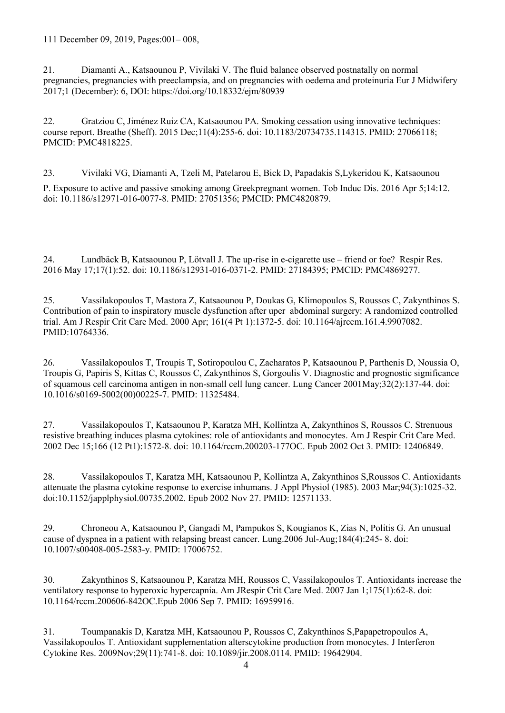111 December 09, 2019, Pages:001– 008,

21. Diamanti A., Katsaounou P, Vivilaki V. The fluid balance observed postnatally on normal pregnancies, pregnancies with preeclampsia, and on pregnancies with oedema and proteinuria Eur J Midwifery 2017;1 (December): 6, DOI: https://doi.org/10.18332/ejm/80939

22. Gratziou C, Jiménez Ruiz CA, Katsaounou PA. Smoking cessation using innovative techniques: course report. Breathe (Sheff). 2015 Dec;11(4):255-6. doi: 10.1183/20734735.114315. PMID: 27066118; PMCID: PMC4818225.

23. Vivilaki VG, Diamanti A, Tzeli M, Patelarou E, Bick D, Papadakis S,Lykeridou K, Katsaounou P. Exposure to active and passive smoking among Greekpregnant women. Tob Induc Dis. 2016 Apr 5;14:12. doi: 10.1186/s12971-016-0077-8. PMID: 27051356; PMCID: PMC4820879.

24. Lundbäck B, Katsaounou P, Lötvall J. The up-rise in e-cigarette use – friend or foe? Respir Res. 2016 May 17;17(1):52. doi: 10.1186/s12931-016-0371-2. PMID: 27184395; PMCID: PMC4869277.

25. Vassilakopoulos T, Mastora Z, Katsaounou P, Doukas G, Klimopoulos S, Roussos C, Zakynthinos S. Contribution of pain to inspiratory muscle dysfunction after uper abdominal surgery: A randomized controlled trial. Am J Respir Crit Care Med. 2000 Apr; 161(4 Pt 1):1372-5. doi: 10.1164/ajrccm.161.4.9907082. PMID:10764336.

26. Vassilakopoulos T, Troupis T, Sotiropoulou C, Zacharatos P, Katsaounou P, Parthenis D, Noussia O, Troupis G, Papiris S, Kittas C, Roussos C, Zakynthinos S, Gorgoulis V. Diagnostic and prognostic significance of squamous cell carcinoma antigen in non-small cell lung cancer. Lung Cancer 2001May;32(2):137-44. doi: 10.1016/s0169-5002(00)00225-7. PMID: 11325484.

27. Vassilakopoulos T, Katsaounou P, Karatza MH, Kollintza A, Zakynthinos S, Roussos C. Strenuous resistive breathing induces plasma cytokines: role of antioxidants and monocytes. Am J Respir Crit Care Med. 2002 Dec 15;166 (12 Pt1):1572-8. doi: 10.1164/rccm.200203-177OC. Epub 2002 Oct 3. PMID: 12406849.

28. Vassilakopoulos T, Karatza MH, Katsaounou P, Kollintza A, Zakynthinos S,Roussos C. Antioxidants attenuate the plasma cytokine response to exercise inhumans. J Appl Physiol (1985). 2003 Mar;94(3):1025-32. doi:10.1152/japplphysiol.00735.2002. Epub 2002 Nov 27. PMID: 12571133.

29. Chroneou A, Katsaounou P, Gangadi M, Pampukos S, Kougianos K, Zias N, Politis G. An unusual cause of dyspnea in a patient with relapsing breast cancer. Lung.2006 Jul-Aug;184(4):245- 8. doi: 10.1007/s00408-005-2583-y. PMID: 17006752.

30. Zakynthinos S, Katsaounou P, Karatza MH, Roussos C, Vassilakopoulos T. Antioxidants increase the ventilatory response to hyperoxic hypercapnia. Am JRespir Crit Care Med. 2007 Jan 1;175(1):62-8. doi: 10.1164/rccm.200606-842OC.Epub 2006 Sep 7. PMID: 16959916.

31. Toumpanakis D, Karatza MH, Katsaounou P, Roussos C, Zakynthinos S,Papapetropoulos A, Vassilakopoulos T. Antioxidant supplementation alterscytokine production from monocytes. J Interferon Cytokine Res. 2009Nov;29(11):741-8. doi: 10.1089/jir.2008.0114. PMID: 19642904.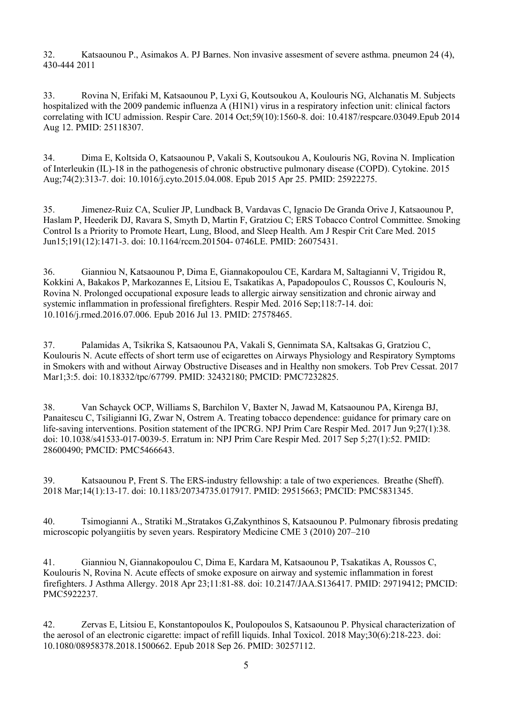32. Katsaounou P., Asimakos A. PJ Barnes. Non invasive assesment of severe asthma. pneumon 24 (4), 430-444 2011

33. Rovina N, Erifaki M, Katsaounou P, Lyxi G, Koutsoukou A, Koulouris NG, Alchanatis M. Subjects hospitalized with the 2009 pandemic influenza A (H1N1) virus in a respiratory infection unit: clinical factors correlating with ICU admission. Respir Care. 2014 Oct;59(10):1560-8. doi: 10.4187/respcare.03049.Epub 2014 Aug 12. PMID: 25118307.

34. Dima E, Koltsida O, Katsaounou P, Vakali S, Koutsoukou A, Koulouris NG, Rovina N. Implication of Interleukin (IL)-18 in the pathogenesis of chronic obstructive pulmonary disease (COPD). Cytokine. 2015 Aug;74(2):313-7. doi: 10.1016/j.cyto.2015.04.008. Epub 2015 Apr 25. PMID: 25922275.

35. Jimenez-Ruiz CA, Sculier JP, Lundback B, Vardavas C, Ignacio De Granda Orive J, Katsaounou P, Haslam P, Heederik DJ, Ravara S, Smyth D, Martin F, Gratziou C; ERS Tobacco Control Committee. Smoking Control Is a Priority to Promote Heart, Lung, Blood, and Sleep Health. Am J Respir Crit Care Med. 2015 Jun15;191(12):1471-3. doi: 10.1164/rccm.201504- 0746LE. PMID: 26075431.

36. Gianniou N, Katsaounou P, Dima E, Giannakopoulou CE, Kardara M, Saltagianni V, Trigidou R, Kokkini A, Bakakos P, Markozannes E, Litsiou E, Tsakatikas A, Papadopoulos C, Roussos C, Koulouris N, Rovina N. Prolonged occupational exposure leads to allergic airway sensitization and chronic airway and systemic inflammation in professional firefighters. Respir Med. 2016 Sep;118:7-14. doi: 10.1016/j.rmed.2016.07.006. Epub 2016 Jul 13. PMID: 27578465.

37. Palamidas A, Tsikrika S, Katsaounou PA, Vakali S, Gennimata SA, Kaltsakas G, Gratziou C, Koulouris N. Acute effects of short term use of ecigarettes on Airways Physiology and Respiratory Symptoms in Smokers with and without Airway Obstructive Diseases and in Healthy non smokers. Tob Prev Cessat. 2017 Mar1;3:5. doi: 10.18332/tpc/67799. PMID: 32432180; PMCID: PMC7232825.

38. Van Schayck OCP, Williams S, Barchilon V, Baxter N, Jawad M, Katsaounou PA, Kirenga BJ, Panaitescu C, Tsiligianni IG, Zwar N, Ostrem A. Treating tobacco dependence: guidance for primary care on life-saving interventions. Position statement of the IPCRG. NPJ Prim Care Respir Med. 2017 Jun 9;27(1):38. doi: 10.1038/s41533-017-0039-5. Erratum in: NPJ Prim Care Respir Med. 2017 Sep 5;27(1):52. PMID: 28600490; PMCID: PMC5466643.

39. Katsaounou P, Frent S. The ERS-industry fellowship: a tale of two experiences. Breathe (Sheff). 2018 Mar;14(1):13-17. doi: 10.1183/20734735.017917. PMID: 29515663; PMCID: PMC5831345.

40. Tsimogianni A., Stratiki M.,Stratakos G,Zakynthinos S, Katsaounou P. Pulmonary fibrosis predating microscopic polyangiitis by seven years. Respiratory Medicine CME 3 (2010) 207–210

41. Gianniou N, Giannakopoulou C, Dima E, Kardara M, Katsaounou P, Tsakatikas A, Roussos C, Koulouris N, Rovina N. Acute effects of smoke exposure on airway and systemic inflammation in forest firefighters. J Asthma Allergy. 2018 Apr 23;11:81-88. doi: 10.2147/JAA.S136417. PMID: 29719412; PMCID: PMC5922237.

42. Zervas E, Litsiou E, Konstantopoulos K, Poulopoulos S, Katsaounou P. Physical characterization of the aerosol of an electronic cigarette: impact of refill liquids. Inhal Toxicol. 2018 May;30(6):218-223. doi: 10.1080/08958378.2018.1500662. Epub 2018 Sep 26. PMID: 30257112.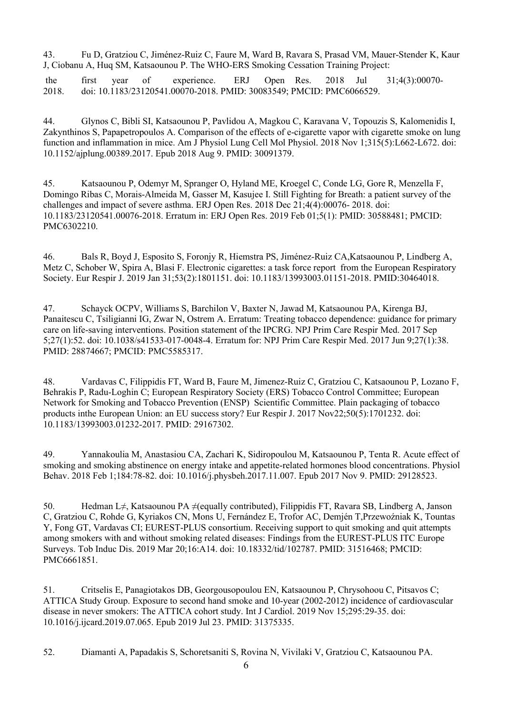43. Fu D, Gratziou C, Jiménez-Ruiz C, Faure M, Ward B, Ravara S, Prasad VM, Mauer-Stender K, Kaur J, Ciobanu A, Huq SM, Katsaounou P. The WHO-ERS Smoking Cessation Training Project:

the first year of experience. ERJ Open Res. 2018 Jul 31;4(3):00070-<br>2018. doi: 10.1183/23120541.00070-2018. PMID: 30083549: PMCID: PMC6066529. 2018. doi: 10.1183/23120541.00070-2018. PMID: 30083549; PMCID: PMC6066529.

44. Glynos C, Bibli SI, Katsaounou P, Pavlidou A, Magkou C, Karavana V, Topouzis S, Kalomenidis I, Zakynthinos S, Papapetropoulos A. Comparison of the effects of e-cigarette vapor with cigarette smoke on lung function and inflammation in mice. Am J Physiol Lung Cell Mol Physiol. 2018 Nov 1;315(5):L662-L672. doi: 10.1152/ajplung.00389.2017. Epub 2018 Aug 9. PMID: 30091379.

45. Katsaounou P, Odemyr M, Spranger O, Hyland ME, Kroegel C, Conde LG, Gore R, Menzella F, Domingo Ribas C, Morais-Almeida M, Gasser M, Kasujee I. Still Fighting for Breath: a patient survey of the challenges and impact of severe asthma. ERJ Open Res. 2018 Dec 21;4(4):00076- 2018. doi: 10.1183/23120541.00076-2018. Erratum in: ERJ Open Res. 2019 Feb 01;5(1): PMID: 30588481; PMCID: PMC6302210.

46. Bals R, Boyd J, Esposito S, Foronjy R, Hiemstra PS, Jiménez-Ruiz CA,Katsaounou P, Lindberg A, Metz C, Schober W, Spira A, Blasi F. Electronic cigarettes: a task force report from the European Respiratory Society. Eur Respir J. 2019 Jan 31;53(2):1801151. doi: 10.1183/13993003.01151-2018. PMID:30464018.

47. Schayck OCPV, Williams S, Barchilon V, Baxter N, Jawad M, Katsaounou PA, Kirenga BJ, Panaitescu C, Tsiligianni IG, Zwar N, Ostrem A. Erratum: Treating tobacco dependence: guidance for primary care on life-saving interventions. Position statement of the IPCRG. NPJ Prim Care Respir Med. 2017 Sep 5;27(1):52. doi: 10.1038/s41533-017-0048-4. Erratum for: NPJ Prim Care Respir Med. 2017 Jun 9;27(1):38. PMID: 28874667; PMCID: PMC5585317.

48. Vardavas C, Filippidis FT, Ward B, Faure M, Jimenez-Ruiz C, Gratziou C, Katsaounou P, Lozano F, Behrakis P, Radu-Loghin C; European Respiratory Society (ERS) Tobacco Control Committee; European Network for Smoking and Tobacco Prevention (ENSP) Scientific Committee. Plain packaging of tobacco products inthe European Union: an EU success story? Eur Respir J. 2017 Nov22;50(5):1701232. doi: 10.1183/13993003.01232-2017. PMID: 29167302.

49. Yannakoulia M, Anastasiou CA, Zachari K, Sidiropoulou M, Katsaounou P, Tenta R. Acute effect of smoking and smoking abstinence on energy intake and appetite-related hormones blood concentrations. Physiol Behav. 2018 Feb 1;184:78-82. doi: 10.1016/j.physbeh.2017.11.007. Epub 2017 Nov 9. PMID: 29128523.

50. Hedman L≠, Katsaounou PA ≠(equally contributed), Filippidis FT, Ravara SB, Lindberg A, Janson C, Gratziou C, Rohde G, Kyriakos CN, Mons U, Fernández E, Trofor AC, Demjén T,Przewoźniak K, Tountas Y, Fong GT, Vardavas CI; EUREST-PLUS consortium. Receiving support to quit smoking and quit attempts among smokers with and without smoking related diseases: Findings from the EUREST-PLUS ITC Europe Surveys. Tob Induc Dis. 2019 Mar 20;16:A14. doi: 10.18332/tid/102787. PMID: 31516468; PMCID: PMC6661851.

51. Critselis E, Panagiotakos DB, Georgousopoulou EN, Katsaounou P, Chrysohoou C, Pitsavos C; ATTICA Study Group. Exposure to second hand smoke and 10-year (2002-2012) incidence of cardiovascular disease in never smokers: The ATTICA cohort study. Int J Cardiol. 2019 Nov 15;295:29-35. doi: 10.1016/j.ijcard.2019.07.065. Epub 2019 Jul 23. PMID: 31375335.

52. Diamanti A, Papadakis S, Schoretsaniti S, Rovina N, Vivilaki V, Gratziou C, Katsaounou PA.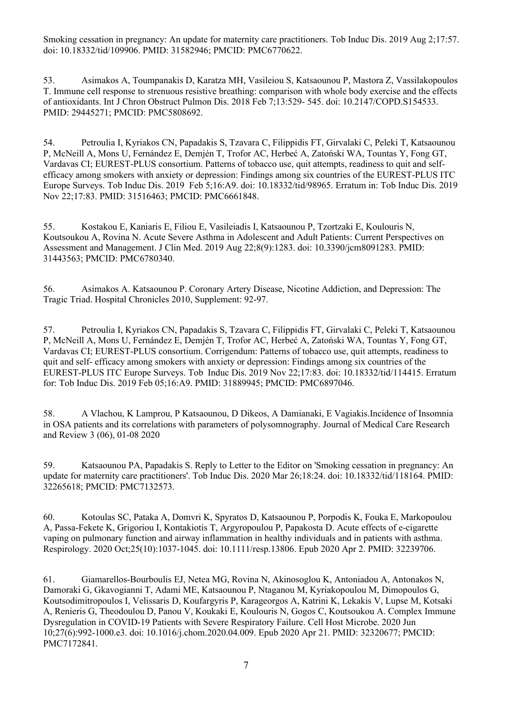Smoking cessation in pregnancy: An update for maternity care practitioners. Tob Induc Dis. 2019 Aug 2;17:57. doi: 10.18332/tid/109906. PMID: 31582946; PMCID: PMC6770622.

53. Asimakos A, Toumpanakis D, Karatza MH, Vasileiou S, Katsaounou P, Mastora Z, Vassilakopoulos T. Immune cell response to strenuous resistive breathing: comparison with whole body exercise and the effects of antioxidants. Int J Chron Obstruct Pulmon Dis. 2018 Feb 7;13:529- 545. doi: 10.2147/COPD.S154533. PMID: 29445271; PMCID: PMC5808692.

54. Petroulia I, Kyriakos CN, Papadakis S, Tzavara C, Filippidis FT, Girvalaki C, Peleki T, Katsaounou P, McNeill A, Mons U, Fernández E, Demjén T, Trofor AC, Herbeć A, Zatoński WA, Tountas Y, Fong GT, Vardavas CI; EUREST-PLUS consortium. Patterns of tobacco use, quit attempts, readiness to quit and selfefficacy among smokers with anxiety or depression: Findings among six countries of the EUREST-PLUS ITC Europe Surveys. Tob Induc Dis. 2019 Feb 5;16:A9. doi: 10.18332/tid/98965. Erratum in: Tob Induc Dis. 2019 Nov 22;17:83. PMID: 31516463; PMCID: PMC6661848.

55. Kostakou E, Kaniaris E, Filiou E, Vasileiadis I, Katsaounou P, Tzortzaki E, Koulouris N, Koutsoukou A, Rovina N. Acute Severe Asthma in Adolescent and Adult Patients: Current Perspectives on Assessment and Management. J Clin Med. 2019 Aug 22;8(9):1283. doi: 10.3390/jcm8091283. PMID: 31443563; PMCID: PMC6780340.

56. Asimakos A. Katsaounou P. Coronary Artery Disease, Nicotine Addiction, and Depression: The Tragic Triad. Hospital Chronicles 2010, Supplement: 92-97.

57. Petroulia I, Kyriakos CN, Papadakis S, Tzavara C, Filippidis FT, Girvalaki C, Peleki T, Katsaounou P, McNeill A, Mons U, Fernández E, Demjén T, Trofor AC, Herbeć A, Zatoński WA, Tountas Y, Fong GT, Vardavas CI; EUREST-PLUS consortium. Corrigendum: Patterns of tobacco use, quit attempts, readiness to quit and self- efficacy among smokers with anxiety or depression: Findings among six countries of the EUREST-PLUS ITC Europe Surveys. Tob Induc Dis. 2019 Nov 22;17:83. doi: 10.18332/tid/114415. Erratum for: Tob Induc Dis. 2019 Feb 05;16:A9. PMID: 31889945; PMCID: PMC6897046.

58. A Vlachou, K Lamprou, P Katsaounou, D Dikeos, A Damianaki, E Vagiakis.Incidence of Insomnia in OSA patients and its correlations with parameters of polysomnography. Journal of Medical Care Research and Review 3 (06), 01-08 2020

59. Katsaounou PA, Papadakis S. Reply to Letter to the Editor on 'Smoking cessation in pregnancy: An update for maternity care practitioners'. Tob Induc Dis. 2020 Mar 26;18:24. doi: 10.18332/tid/118164. PMID: 32265618; PMCID: PMC7132573.

60. Kotoulas SC, Pataka A, Domvri K, Spyratos D, Katsaounou P, Porpodis K, Fouka E, Markopoulou A, Passa-Fekete K, Grigoriou I, Kontakiotis T, Argyropoulou P, Papakosta D. Acute effects of e-cigarette vaping on pulmonary function and airway inflammation in healthy individuals and in patients with asthma. Respirology. 2020 Oct;25(10):1037-1045. doi: 10.1111/resp.13806. Epub 2020 Apr 2. PMID: 32239706.

61. Giamarellos-Bourboulis EJ, Netea MG, Rovina N, Akinosoglou K, Antoniadou A, Antonakos N, Damoraki G, Gkavogianni T, Adami ME, Katsaounou P, Ntaganou M, Kyriakopoulou M, Dimopoulos G, Koutsodimitropoulos I, Velissaris D, Koufargyris P, Karageorgos A, Katrini K, Lekakis V, Lupse M, Kotsaki A, Renieris G, Theodoulou D, Panou V, Koukaki E, Koulouris N, Gogos C, Koutsoukou A. Complex Immune Dysregulation in COVID-19 Patients with Severe Respiratory Failure. Cell Host Microbe. 2020 Jun 10;27(6):992-1000.e3. doi: 10.1016/j.chom.2020.04.009. Epub 2020 Apr 21. PMID: 32320677; PMCID: PMC7172841.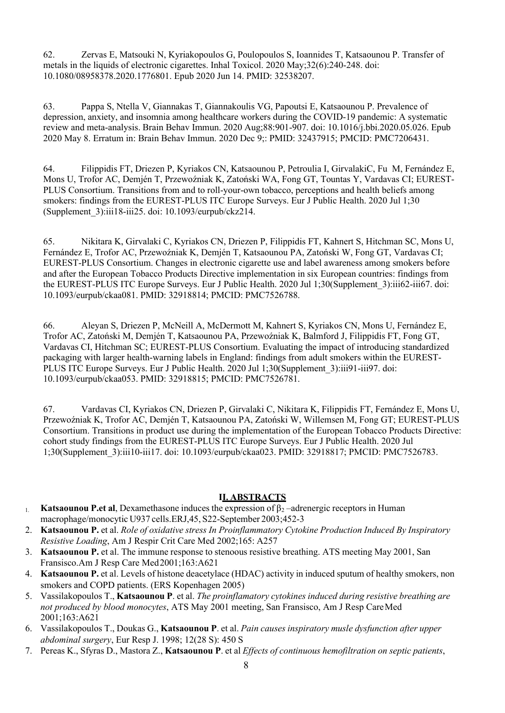62. Zervas E, Matsouki N, Kyriakopoulos G, Poulopoulos S, Ioannides T, Katsaounou P. Transfer of metals in the liquids of electronic cigarettes. Inhal Toxicol. 2020 May;32(6):240-248. doi: 10.1080/08958378.2020.1776801. Epub 2020 Jun 14. PMID: 32538207.

63. Pappa S, Ntella V, Giannakas T, Giannakoulis VG, Papoutsi E, Katsaounou P. Prevalence of depression, anxiety, and insomnia among healthcare workers during the COVID-19 pandemic: A systematic review and meta-analysis. Brain Behav Immun. 2020 Aug;88:901-907. doi: 10.1016/j.bbi.2020.05.026. Epub 2020 May 8. Erratum in: Brain Behav Immun. 2020 Dec 9;: PMID: 32437915; PMCID: PMC7206431.

64. Filippidis FT, Driezen P, Kyriakos CN, Katsaounou P, Petroulia I, GirvalakiC, Fu M, Fernández E, Mons U, Trofor AC, Demjén T, Przewoźniak K, Zatoński WA, Fong GT, Tountas Y, Vardavas CI; EUREST-PLUS Consortium. Transitions from and to roll-your-own tobacco, perceptions and health beliefs among smokers: findings from the EUREST-PLUS ITC Europe Surveys. Eur J Public Health. 2020 Jul 1;30 (Supplement\_3):iii18-iii25. doi: 10.1093/eurpub/ckz214.

65. Nikitara K, Girvalaki C, Kyriakos CN, Driezen P, Filippidis FT, Kahnert S, Hitchman SC, Mons U, Fernández E, Trofor AC, Przewoźniak K, Demjén T, Katsaounou PA, Zatoński W, Fong GT, Vardavas CI; EUREST-PLUS Consortium. Changes in electronic cigarette use and label awareness among smokers before and after the European Tobacco Products Directive implementation in six European countries: findings from the EUREST-PLUS ITC Europe Surveys. Eur J Public Health. 2020 Jul 1;30(Supplement\_3):iii62-iii67. doi: 10.1093/eurpub/ckaa081. PMID: 32918814; PMCID: PMC7526788.

66. Aleyan S, Driezen P, McNeill A, McDermott M, Kahnert S, Kyriakos CN, Mons U, Fernández E, Trofor AC, Zatoński M, Demjén T, Katsaounou PA, Przewoźniak K, Balmford J, Filippidis FT, Fong GT, Vardavas CI, Hitchman SC; EUREST-PLUS Consortium. Evaluating the impact of introducing standardized packaging with larger health-warning labels in England: findings from adult smokers within the EUREST-PLUS ITC Europe Surveys. Eur J Public Health. 2020 Jul 1;30(Supplement 3):iii91-iii97. doi: 10.1093/eurpub/ckaa053. PMID: 32918815; PMCID: PMC7526781.

67. Vardavas CI, Kyriakos CN, Driezen P, Girvalaki C, Nikitara K, Filippidis FT, Fernández E, Mons U, Przewoźniak K, Trofor AC, Demjén T, Katsaounou PA, Zatoński W, Willemsen M, Fong GT; EUREST-PLUS Consortium. Transitions in product use during the implementation of the European Tobacco Products Directive: cohort study findings from the EUREST-PLUS ITC Europe Surveys. Eur J Public Health. 2020 Jul 1;30(Supplement\_3):iii10-iii17. doi: 10.1093/eurpub/ckaa023. PMID: 32918817; PMCID: PMC7526783.

### **II. ABSTRACTS**

- 1. **Κatsaounou P.et al**, Dexamethasone induces the expression of β<sup>2</sup> –adrenergic receptors in Human macrophage/monocytic U937 cells.ERJ,45, S22-September 2003;452-3
- 2. **Katsaounou P.** et al. *Role of oxidative stress In Proinflammatory Cytokine Production Induced By Inspiratory Resistive Loading*, Am J Respir Crit Care Med 2002;165: Α257
- 3. **Katsaounou P.** et al. The immune response to stenoous resistive breathing. ATS meeting May 2001, San Fransisco.Am J Resp Care Med2001;163:Α621
- 4. **Katsaounou P.** et al. Levels of histone deacetylace (HDAC) activity in induced sputum of healthy smokers, non smokers and COPD patients. (ERS Kopenhagen 2005)
- 5. Vassilakopoulos T., **Katsaounou P**. et al. *The proinflamatory cytokines induced during resistive breathing are not produced by blood monocytes*, ATS May 2001 meeting, San Fransisco, Am J Resp CareMed 2001;163:Α621
- 6. Vassilakopoulos T., Doukas G., **Katsaounou P**. et al. *Pain causes inspiratory musle dysfunction after upper abdominal surgery*, Eur Resp J. 1998; 12(28 S): 450 S
- 7. Pereas K., Sfyras D., Mastora Z., **Katsaounou P**. et al *Effects of continuous hemofiltration on septic patients*,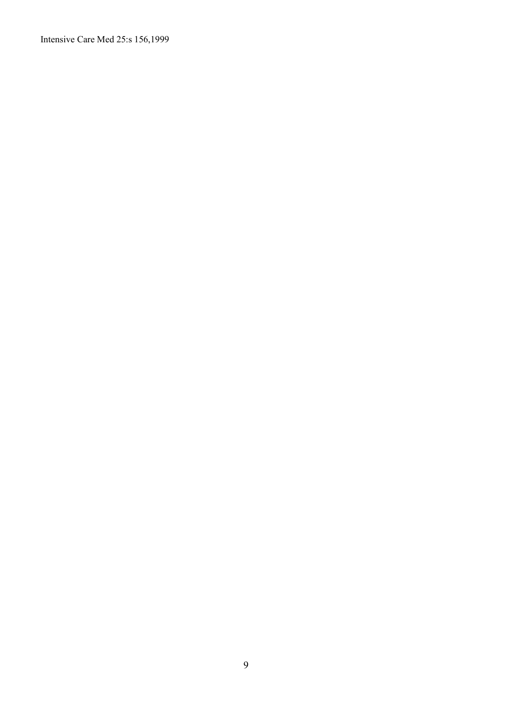Intensive Care Med 25:s 156,1999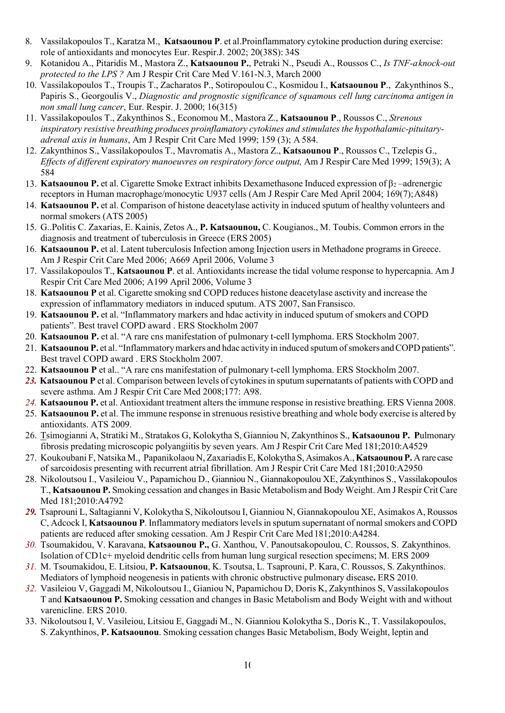- 8. Vassilakopoulos T., Karatza M., **Katsaounou P**. et al.Proinflammatory cytokine production during exercise: role of antioxidants and monocytes Eur. Respir.J. 2002; 20(38S): 34S
- 9. Kotanidou A., Pitaridis M., Mastora Z., **Katsaounou P.**, Petraki N., Pseudi A., Roussos C., *Is TNF-aknock-out protected to the LPS ?* Am J Respir Crit Care Med V.161-N.3, March 2000
- 10. Vassilakopoulos T., Troupis T., Zacharatos P., Sotiropoulou C., Kosmidou I., **Katsaounou P**., Zakynthinos S., Papiris S., Georgoulis V., *Diagnostic and prognostic significance of squamous cell lung carcinoma antigen in non small lung cancer*, Eur. Respir. J. 2000; 16(315)
- 11. Vassilakopoulos T., Zakynthinos S., Economou M., Mastora Z., **Katsaounou P**., Roussos C., *Strenous inspiratory resistive breathing produces proinflamatory cytokines and stimulates the hypothalamic-pituitaryadrenal axis in humans*, Am J Respir Crit Care Med 1999; 159 (3); A 584.
- 12. Zakynthinos S., Vassilakopoulos T., Mavromatis A., Mastora Z., **Katsaounou P**., Roussos C., Tzelepis G., *Effects of different expiratory manoeuvres on respiratory force output,* Am J Respir Care Med 1999; 159(3); A 584
- 13. **Katsaounou P.** et al. Cigarette Smoke Extract inhibits Dexamethasone Induced expression of β<sub>2</sub> –adrenergic receptors in Human macrophage/monocytic U937 cells (Am J Respir Care Med April 2004; 169(7);A848)
- 14. **Katsaounou P.** et al. Comparison of histone deacetylase activity in induced sputum of healthy volunteers and normal smokers (ATS 2005)
- 15. G..Politis C. Zaxarias, E. Kainis, Zetos A., **P. Katsaounou,** C. Kougianos., M. Toubis. Common errors in the diagnosis and treatment of tuberculosis in Greece (ERS 2005)
- 16. **Katsaounou P.** et al. Latent tuberculosis Infection among Injection users in Methadone programs in Greece. Am J Respir Crit Care Med 2006; A669 April 2006, Volume 3
- 17. Vassilakopoulos T., **Katsaounou P**. et al. Antioxidants increase the tidal volume response to hypercapnia. Am J Respir Crit Care Med 2006; A199 April 2006, Volume 3
- 18. **Κatsaounou P** et al. Cigarette smoking snd COPD reduces histone deacetylase asctivity and increase the expression of inflammatory mediators in induced sputum. ATS 2007, San Fransisco.
- 19. **Κatsaounou P.** et al. "Inflammatory markers and hdac activity in induced sputum of smokers and COPD patients". Best travel COPD award . ERS Stockholm 2007
- 20. **Κatsaounou P.** et al. "A rare cns manifestation of pulmonary t-cell lymphoma. ERS Stockholm 2007.
- 21. **Katsaounou P.** et al. "Inflammatory markers and hdac activity in induced sputum of smokers and COPD patients". Best travel COPD award . ERS Stockholm 2007.
- 22. **Κatsaounou P** et al.. "A rare cns manifestation of pulmonary t-cell lymphoma. ERS Stockholm 2007.
- 23. **Katsaounou** P et al. Comparison between levels of cytokines in sputum supernatants of patients with COPD and severe asthma. Am J Respir Crit Care Med 2008;177: Α98.
- *24.* **Katsaounou P.** et al. Antioxidant treatment alters the immune response in resistive breathing. ERS Vienna 2008.
- 25. **Katsaounou P.** et al. The immune response in strenuousresistive breathing and whole body exercise is altered by antioxidants. ATS 2009.
- 26. Tsimogianni A, Stratiki M., Stratakos G, Kolokytha S, Gianniou N, Zakynthinos S., **Katsaounou P. P**ulmonary fibrosis predating microscopic polyangiitis by seven years. Am J Respir Crit Care Med 181;2010:A4529
- 27. Koukoubani F, Natsika M., Papanikolaou N, Zaxariadis E, KolokythaS, AsimakosA.,**KatsaounouP.** A rare case of sarcoidosis presenting with recurrent atrial fibrillation. Am J Respir Crit Care Med 181;2010:A2950
- 28. Nikoloutsou I., Vasileiou V., Papamichou D., Gianniou N., Giannakopoulou XE, Zakynthinos S., Vassilakopoulos T., **Katsaounou P.** Smoking cessation and changesin Basic Metabolism and BodyWeight. Am J Respir Crit Care Med 181;2010:A4792
- *29.* Tsaprouni L, Saltagianni V, Kolokytha S, Nikoloutsou I, Gianniou N, Giannakopoulou XE, Asimakos A, Roussos C, Adcock I, Katsaounou P. Inflammatory mediators levels in sputum supernatant of normal smokers and COPD patients are reduced after smoking cessation. Am J Respir Crit Care Med181;2010:A4284.
- *30.* Tsoumakidou, V. Karavana, **Katsaounou P.,** G. Xanthou, V. Panoutsakopoulou, C. Roussos, S. Zakynthinos. Isolation of CD1c+ myeloid dendritic cells from human lung surgical resection specimens; M. ERS 2009
- *31.* M. Tsoumakidou, E. Litsiou, **P. Katsaounou**, K. Tsoutsa, L. Tsaprouni, P. Kara, C. Roussos, S. Zakynthinos. Mediators of lymphoid neogenesis in patients with chronic obstructive pulmonary disease**.** ERS 2010.
- *32.* Vasileiou V, Gaggadi M, Nikoloutsou I., Gianiou N, Papamichou D, Doris K, Zakynthinos S, Vassilakopoulos T and **Katsaounou P.** Smoking cessation and changes in Basic Metabolism and Body Weight with and without varenicline. ERS 2010.
- 33. Nikoloutsou I, V. Vasileiou, Litsiou E, Gaggadi M., N. Gianniou Kolokytha S., Doris K., T. Vassilakopoulos, S. Zakynthinos, **P. Katsaounou**. Smoking cessation changes Basic Metabolism, Body Weight, leptin and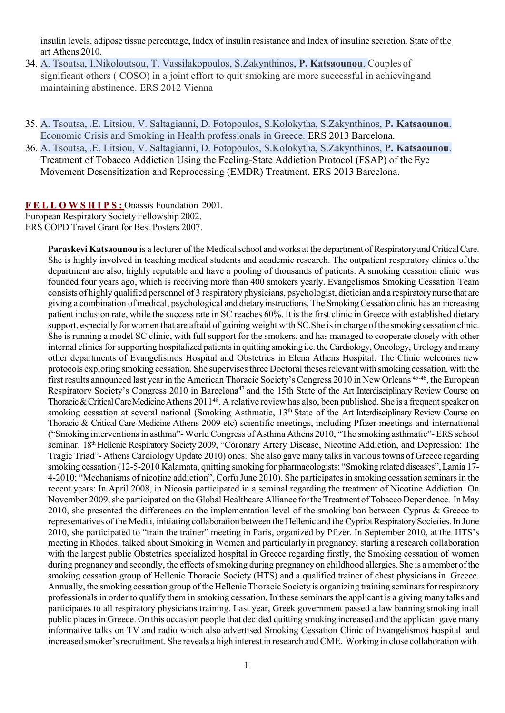insulin levels, adipose tissue percentage, Index of insulin resistance and Index of insuline secretion. State of the art Athens 2010.

- 34. A. Tsoutsa, I.Nikoloutsou, T. Vassilakopoulos, S.Zakynthinos, **P. Katsaounou**. Couples of significant others ( COSO) in a joint effort to quit smoking are more successful in achievingand maintaining abstinence. ERS 2012 Vienna
- 35. A. Tsoutsa, .E. Litsiou, V. Saltagianni, D. Fotopoulos, S.Kolokytha, S.Zakynthinos, **P. Katsaounou**. Economic Crisis and Smoking in Health professionals in Greece. ERS 2013 Barcelona.
- 36. A. Tsoutsa, .E. Litsiou, V. Saltagianni, D. Fotopoulos, S.Kolokytha, S.Zakynthinos, **P. Katsaounou**. Treatment of Tobacco Addiction Using the Feeling-State Addiction Protocol (FSAP) of theEye Movement Desensitization and Reprocessing (EMDR) Treatment. ERS 2013 Barcelona.

**F E L L O W S H I P S :** Onassis Foundation 2001.

European Respiratory Society Fellowship 2002. ERS COPD Travel Grant for Best Posters 2007.

> **Paraskevi Katsaounou** is a lecturer of the Medical school and works at the department of Respiratory and Critical Care. She is highly involved in teaching medical students and academic research. The outpatient respiratory clinics ofthe department are also, highly reputable and have a pooling of thousands of patients. A smoking cessation clinic was founded four years ago, which is receiving more than 400 smokers yearly. Evangelismos Smoking Cessation Team consists of highly qualified personnel of 3 respiratory physicians, psychologist, dietician and a respiratorynurse that are giving a combination of medical, psychological and dietaryinstructions. The SmokingCessation clinic has an increasing patient inclusion rate, while the success rate in SC reaches 60%. It is the first clinic in Greece with established dietary support, especially for women that are afraid of gaining weight with SC.She isin charge ofthe smoking cessation clinic. She is running a model SC clinic, with full support for the smokers, and has managed to cooperate closely with other internal clinics for supporting hospitalized patients in quitting smoking i.e. the Cardiology, Oncology, Urology and many other departments of Evangelismos Hospital and Obstetrics in Elena Athens Hospital. The Clinic welcomes new protocols exploring smoking cessation. She supervises three Doctoral theses relevant with smoking cessation, with the first results announced last year in the American Thoracic Society's Congress 2010 in New Orleans 45-46, the European Respiratory Society's Congress 2010 in Barcelona<sup>47</sup> and the 15th State of the Art Interdisciplinary Review Course on Thoracic & Critical Care Medicine Athens 2011<sup>48</sup>. A relative review has also, been published. She is a frequent speaker on smoking cessation at several national (Smoking Asthmatic, 13<sup>th</sup> State of the Art Interdisciplinary Review Course on Thoracic & Critical Care Medicine Athens 2009 etc) scientific meetings, including Pfizer meetings and international ("Smoking interventionsin asthma"-World Congress of Asthma Athens 2010, "The smoking asthmatic"-ERS school seminar. 18<sup>th</sup> Hellenic Respiratory Society 2009, "Coronary Artery Disease, Nicotine Addiction, and Depression: The Tragic Triad"- Athens Cardiology Update 2010) ones. She also gave many talksin varioustowns of Greece regarding smoking cessation (12-5-2010 Kalamata, quitting smoking for pharmacologists; "Smoking related diseases",Lamia 17- 4-2010; "Mechanisms of nicotine addiction", Corfu June 2010). She participatesin smoking cessation seminarsin the recent years: In April 2008, in Nicosia participated in a seminal regarding the treatment of Nicotine Addiction. On November 2009, she participated on the Global Healthcare Alliance for the Treatment of Tobacco Dependence. In May 2010, she presented the differences on the implementation level of the smoking ban between Cyprus & Greece to representatives of the Media, initiating collaboration between the Hellenic and the Cypriot Respiratory Societies. In June 2010, she participated to "train the trainer" meeting in Paris, organized by Pfizer. In September 2010, at the HTS's meeting in Rhodes, talked about Smoking in Women and particularly in pregnancy, starting a research collaboration with the largest public Obstetrics specialized hospital in Greece regarding firstly, the Smoking cessation of women during pregnancy and secondly, the effects of smoking during pregnancy on childhood allergies. She is a member of the smoking cessation group of Hellenic Thoracic Society (HTS) and a qualified trainer of chest physicians in Greece. Annually, the smoking cessation group of the Hellenic Thoracic Society is organizing training seminars for respiratory professionals in order to qualify them in smoking cessation. In these seminars the applicant is a giving many talks and participates to all respiratory physicians training. Last year, Greek government passed a law banning smoking inall public places in Greece. On this occasion people that decided quitting smoking increased and the applicant gave many informative talks on TV and radio which also advertised Smoking Cessation Clinic of Evangelismos hospital and increased smoker's recruitment. She reveals a high interest in research and CME. Working in close collaboration with